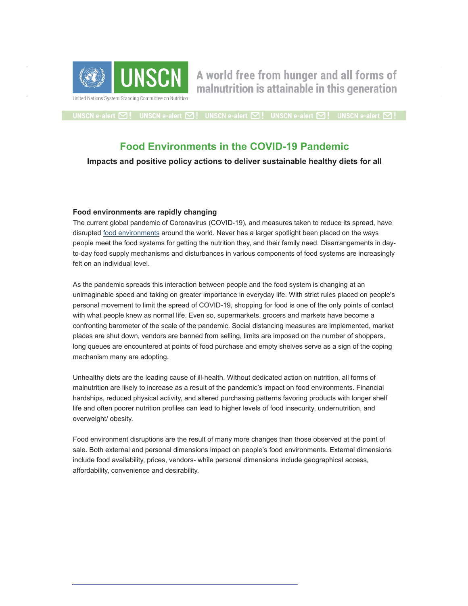

A world free from hunger and all forms of malnutrition is attainable in this generation

UNSCN e-alert  $\boxtimes$  L UNSCN e-alert  $\boxtimes$  L UNSCN e-alert  $\boxtimes$  L UNSCN e-alert  $\boxtimes$  L UNSCN e-alert  $\boxtimes$  L

# **Food Environments in the COVID-19 Pandemic**

**Impacts and positive policy actions to deliver sustainable healthy diets for all**

### **Food environments are rapidly changing**

The current global pandemic of Coronavirus (COVID-19), and measures taken to reduce its spread, have disrupted [food environments](https://unscn.us14.list-manage.com/track/click?u=29563f1fe06cff1ab8137ee56&id=05e6a12f3d&e=a8703ea1ab) around the world. Never has a larger spotlight been placed on the ways people meet the food systems for getting the nutrition they, and their family need. Disarrangements in dayto-day food supply mechanisms and disturbances in various components of food systems are increasingly felt on an individual level.

As the pandemic spreads this interaction between people and the food system is changing at an unimaginable speed and taking on greater importance in everyday life. With strict rules placed on people's personal movement to limit the spread of COVID-19, shopping for food is one of the only points of contact with what people knew as normal life. Even so, supermarkets, grocers and markets have become a confronting barometer of the scale of the pandemic. Social distancing measures are implemented, market places are shut down, vendors are banned from selling, limits are imposed on the number of shoppers, long queues are encountered at points of food purchase and empty shelves serve as a sign of the coping mechanism many are adopting.

Unhealthy diets are the leading cause of ill-health. Without dedicated action on nutrition, all forms of malnutrition are likely to increase as a result of the pandemic's impact on food environments. Financial hardships, reduced physical activity, and altered purchasing patterns favoring products with longer shelf life and often poorer nutrition profiles can lead to higher levels of food insecurity, undernutrition, and overweight/ obesity.

Food environment disruptions are the result of many more changes than those observed at the point of sale. Both external and personal dimensions impact on people's food environments. External dimensions include food availability, prices, vendors- while personal dimensions include geographical access, affordability, convenience and desirability.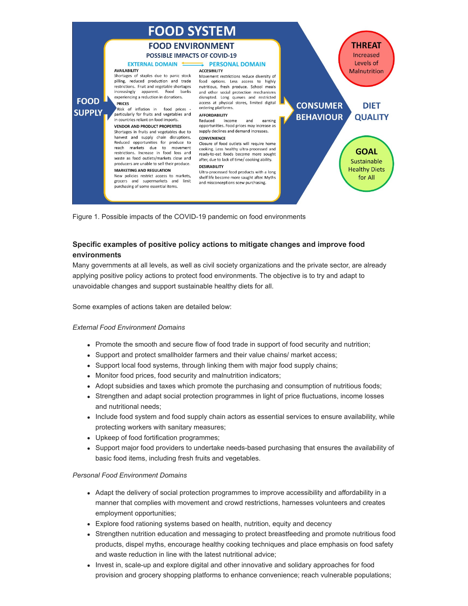

Figure 1. Possible impacts of the COVID-19 pandemic on food environments

# **Specific examples of positive policy actions to mitigate changes and improve food environments**

Many governments at all levels, as well as civil society organizations and the private sector, are already applying positive policy actions to protect food environments. The objective is to try and adapt to unavoidable changes and support sustainable healthy diets for all.

Some examples of actions taken are detailed below:

#### *External Food Environment Domains*

- Promote the smooth and secure flow of food trade in support of food security and nutrition;
- Support and protect smallholder farmers and their value chains/ market access;
- Support local food systems, through linking them with major food supply chains;
- Monitor food prices, food security and malnutrition indicators;
- Adopt subsidies and taxes which promote the purchasing and consumption of nutritious foods;
- Strengthen and adapt social protection programmes in light of price fluctuations, income losses and nutritional needs;
- Include food system and food supply chain actors as essential services to ensure availability, while protecting workers with sanitary measures;
- Upkeep of food fortification programmes;
- Support major food providers to undertake needs-based purchasing that ensures the availability of basic food items, including fresh fruits and vegetables.

#### *Personal Food Environment Domains*

- Adapt the delivery of social protection programmes to improve accessibility and affordability in a manner that complies with movement and crowd restrictions, harnesses volunteers and creates employment opportunities;
- Explore food rationing systems based on health, nutrition, equity and decency
- Strengthen nutrition education and messaging to protect breastfeeding and promote nutritious food products, dispel myths, encourage healthy cooking techniques and place emphasis on food safety and waste reduction in line with the latest nutritional advice;
- Invest in, scale-up and explore digital and other innovative and solidary approaches for food provision and grocery shopping platforms to enhance convenience; reach vulnerable populations;